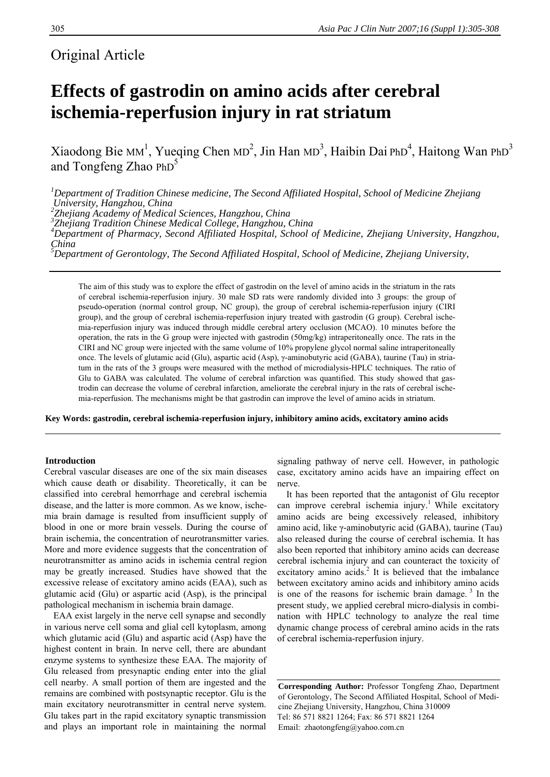# Original Article

# **Effects of gastrodin on amino acids after cerebral ischemia-reperfusion injury in rat striatum**

Xiaodong Bie MM<sup>1</sup>, Yueqing Chen MD<sup>2</sup>, Jin Han MD<sup>3</sup>, Haibin Dai PhD<sup>4</sup>, Haitong Wan PhD<sup>3</sup> and Tongfeng Zhao  $PhD<sup>5</sup>$ 

*1 Department of Tradition Chinese medicine, The Second Affiliated Hospital, School of Medicine Zhejiang*  University, Hangzhou, China<br><sup>2</sup>Zhejiang Academy of Medical Sciences, Hangzhou, China<br><sup>3</sup>Zhejiang Tradition Chinese Medical College, Hangzhou, China<br><sup>4</sup>Department of Pharmacy, Second Affiliated Hospital, School of Medicine,

*China* 

*5 Department of Gerontology, The Second Affiliated Hospital, School of Medicine, Zhejiang University,* 

The aim of this study was to explore the effect of gastrodin on the level of amino acids in the striatum in the rats of cerebral ischemia-reperfusion injury. 30 male SD rats were randomly divided into 3 groups: the group of pseudo-operation (normal control group, NC group), the group of cerebral ischemia-reperfusion injury (CIRI group), and the group of cerebral ischemia-reperfusion injury treated with gastrodin (G group). Cerebral ischemia-reperfusion injury was induced through middle cerebral artery occlusion (MCAO). 10 minutes before the operation, the rats in the G group were injected with gastrodin (50mg/kg) intraperitoneally once. The rats in the CIRI and NC group were injected with the same volume of 10% propylene glycol normal saline intraperitoneally once. The levels of glutamic acid (Glu), aspartic acid (Asp), γ-aminobutyric acid (GABA), taurine (Tau) in striatum in the rats of the 3 groups were measured with the method of microdialysis-HPLC techniques. The ratio of Glu to GABA was calculated. The volume of cerebral infarction was quantified. This study showed that gastrodin can decrease the volume of cerebral infarction, ameliorate the cerebral injury in the rats of cerebral ischemia-reperfusion. The mechanisms might be that gastrodin can improve the level of amino acids in striatum.

**Key Words: gastrodin, cerebral ischemia-reperfusion injury, inhibitory amino acids, excitatory amino acids** 

# **Introduction**

Cerebral vascular diseases are one of the six main diseases which cause death or disability. Theoretically, it can be classified into cerebral hemorrhage and cerebral ischemia disease, and the latter is more common. As we know, ischemia brain damage is resulted from insufficient supply of blood in one or more brain vessels. During the course of brain ischemia, the concentration of neurotransmitter varies. More and more evidence suggests that the concentration of neurotransmitter as amino acids in ischemia central region may be greatly increased. Studies have showed that the excessive release of excitatory amino acids (EAA), such as glutamic acid (Glu) or aspartic acid (Asp), is the principal pathological mechanism in ischemia brain damage.

EAA exist largely in the nerve cell synapse and secondly in various nerve cell soma and glial cell kytoplasm, among which glutamic acid (Glu) and aspartic acid (Asp) have the highest content in brain. In nerve cell, there are abundant enzyme systems to synthesize these EAA. The majority of Glu released from presynaptic ending enter into the glial cell nearby. A small portion of them are ingested and the remains are combined with postsynaptic receptor. Glu is the main excitatory neurotransmitter in central nerve system. Glu takes part in the rapid excitatory synaptic transmission and plays an important role in maintaining the normal

signaling pathway of nerve cell. However, in pathologic case, excitatory amino acids have an impairing effect on nerve.

It has been reported that the antagonist of Glu receptor can improve cerebral ischemia injury.<sup>1</sup> While excitatory amino acids are being excessively released, inhibitory amino acid, like γ-aminobutyric acid (GABA), taurine (Tau) also released during the course of cerebral ischemia. It has also been reported that inhibitory amino acids can decrease cerebral ischemia injury and can counteract the toxicity of excitatory amino acids. $2$  It is believed that the imbalance between excitatory amino acids and inhibitory amino acids is one of the reasons for ischemic brain damage.<sup>3</sup> In the present study, we applied cerebral micro-dialysis in combination with HPLC technology to analyze the real time dynamic change process of cerebral amino acids in the rats of cerebral ischemia-reperfusion injury.

**Corresponding Author:** Professor Tongfeng Zhao, Department of Gerontology, The Second Affiliated Hospital, School of Medicine Zhejiang University, Hangzhou, China 310009 Tel: 86 571 8821 1264; Fax: 86 571 8821 1264 Email: zhaotongfeng@yahoo.com.cn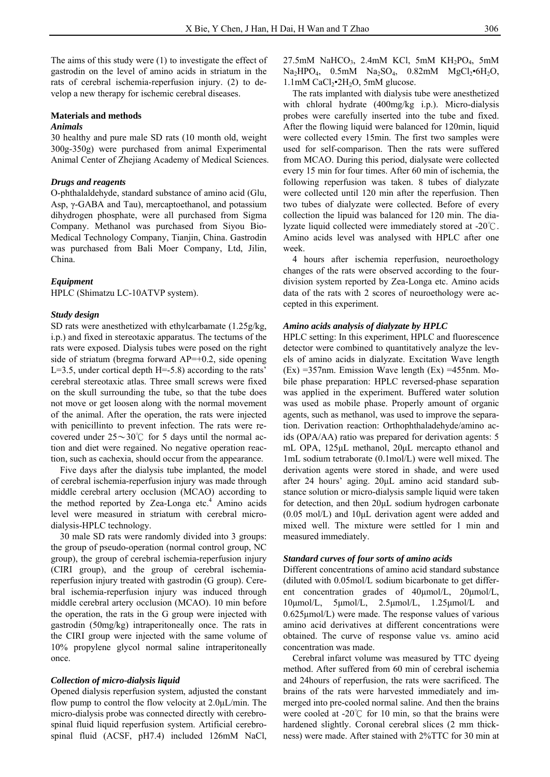The aims of this study were (1) to investigate the effect of gastrodin on the level of amino acids in striatum in the rats of cerebral ischemia-reperfusion injury. (2) to develop a new therapy for ischemic cerebral diseases.

# **Materials and methods**

# *Animals*

30 healthy and pure male SD rats (10 month old, weight 300g-350g) were purchased from animal Experimental Animal Center of Zhejiang Academy of Medical Sciences.

#### *Drugs and reagents*

O-phthalaldehyde, standard substance of amino acid (Glu, Asp, γ-GABA and Tau), mercaptoethanol, and potassium dihydrogen phosphate, were all purchased from Sigma Company. Methanol was purchased from Siyou Bio-Medical Technology Company, Tianjin, China. Gastrodin was purchased from Bali Moer Company, Ltd, Jilin, China.

#### *Equipment*

HPLC (Shimatzu LC-10ATVP system).

#### *Study design*

SD rats were anesthetized with ethylcarbamate (1.25g/kg, i.p.) and fixed in stereotaxic apparatus. The tectums of the rats were exposed. Dialysis tubes were posed on the right side of striatum (bregma forward  $AP=+0.2$ , side opening L=3.5, under cortical depth H=-5.8) according to the rats' cerebral stereotaxic atlas. Three small screws were fixed on the skull surrounding the tube, so that the tube does not move or get loosen along with the normal movement of the animal. After the operation, the rats were injected with penicillinto to prevent infection. The rats were recovered under  $25 \sim 30^{\circ}$  for 5 days until the normal action and diet were regained. No negative operation reaction, such as cachexia, should occur from the appearance.

Five days after the dialysis tube implanted, the model of cerebral ischemia-reperfusion injury was made through middle cerebral artery occlusion (MCAO) according to the method reported by Zea-Longa etc.<sup>4</sup> Amino acids level were measured in striatum with cerebral microdialysis-HPLC technology.

30 male SD rats were randomly divided into 3 groups: the group of pseudo-operation (normal control group, NC group), the group of cerebral ischemia-reperfusion injury (CIRI group), and the group of cerebral ischemiareperfusion injury treated with gastrodin (G group). Cerebral ischemia-reperfusion injury was induced through middle cerebral artery occlusion (MCAO). 10 min before the operation, the rats in the G group were injected with gastrodin (50mg/kg) intraperitoneally once. The rats in the CIRI group were injected with the same volume of 10% propylene glycol normal saline intraperitoneally once.

# *Collection of micro-dialysis liquid*

Opened dialysis reperfusion system, adjusted the constant flow pump to control the flow velocity at 2.0μL/min. The micro-dialysis probe was connected directly with cerebrospinal fluid liquid reperfusion system. Artificial cerebrospinal fluid (ACSF, pH7.4) included 126mM NaCl,

 $27.5$ mM NaHCO<sub>3</sub>, 2.4mM KCl, 5mM KH<sub>2</sub>PO<sub>4</sub>, 5mM  $Na<sub>2</sub>HPO<sub>4</sub>, 0.5mM Na<sub>2</sub>SO<sub>4</sub>, 0.82mM MgCl<sub>2</sub>•6H<sub>2</sub>O,$  $1.1$ mM CaCl<sub>2</sub> $\cdot$ 2H<sub>2</sub>O, 5mM glucose.

The rats implanted with dialysis tube were anesthetized with chloral hydrate (400mg/kg i.p.). Micro-dialysis probes were carefully inserted into the tube and fixed. After the flowing liquid were balanced for 120min, liquid were collected every 15min. The first two samples were used for self-comparison. Then the rats were suffered from MCAO. During this period, dialysate were collected every 15 min for four times. After 60 min of ischemia, the following reperfusion was taken. 8 tubes of dialyzate were collected until 120 min after the reperfusion. Then two tubes of dialyzate were collected. Before of every collection the lipuid was balanced for 120 min. The dialyzate liquid collected were immediately stored at -20℃. Amino acids level was analysed with HPLC after one week.

4 hours after ischemia reperfusion, neuroethology changes of the rats were observed according to the fourdivision system reported by Zea-Longa etc. Amino acids data of the rats with 2 scores of neuroethology were accepted in this experiment.

# *Amino acids analysis of dialyzate by HPLC*

HPLC setting: In this experiment, HPLC and fluorescence detector were combined to quantitatively analyze the levels of amino acids in dialyzate. Excitation Wave length  $(Ex) = 357$ nm. Emission Wave length  $(Ex) = 455$ nm. Mobile phase preparation: HPLC reversed-phase separation was applied in the experiment. Buffered water solution was used as mobile phase. Properly amount of organic agents, such as methanol, was used to improve the separation. Derivation reaction: Orthophthaladehyde/amino acids (OPA/AA) ratio was prepared for derivation agents: 5 mL OPA, 125μL methanol, 20μL mercapto ethanol and 1mL sodium tetraborate (0.1mol/L) were well mixed. The derivation agents were stored in shade, and were used after 24 hours' aging. 20μL amino acid standard substance solution or micro-dialysis sample liquid were taken for detection, and then 20μL sodium hydrogen carbonate (0.05 mol/L) and 10μL derivation agent were added and mixed well. The mixture were settled for 1 min and measured immediately.

#### *Standard curves of four sorts of amino acids*

Different concentrations of amino acid standard substance (diluted with 0.05mol/L sodium bicarbonate to get different concentration grades of 40μmol/L, 20μmol/L, 10μmol/L, 5μmol/L, 2.5μmol/L, 1.25μmol/L and 0.625μmol/L) were made. The response values of various amino acid derivatives at different concentrations were obtained. The curve of response value vs. amino acid concentration was made.

Cerebral infarct volume was measured by TTC dyeing method. After suffered from 60 min of cerebral ischemia and 24hours of reperfusion, the rats were sacrificed. The brains of the rats were harvested immediately and immerged into pre-cooled normal saline. And then the brains were cooled at -20℃ for 10 min, so that the brains were hardened slightly. Coronal cerebral slices (2 mm thickness) were made. After stained with 2%TTC for 30 min at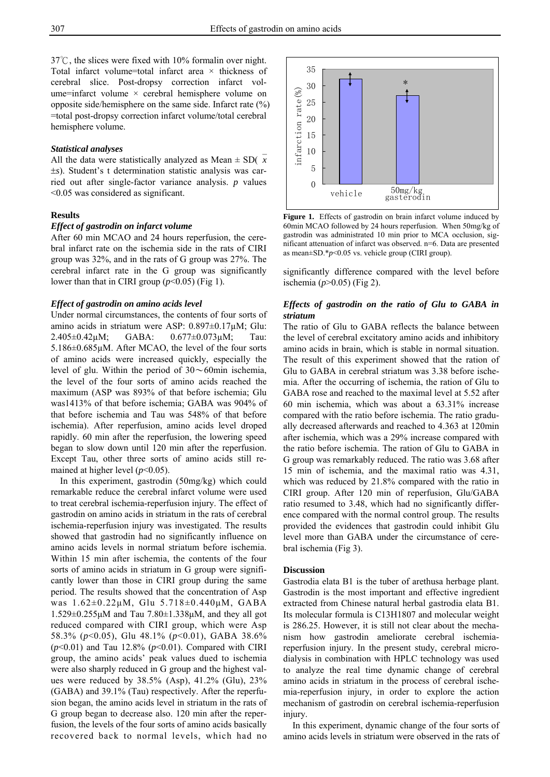37℃, the slices were fixed with 10% formalin over night. Total infarct volume=total infarct area × thickness of cerebral slice. Post-dropsy correction infarct volume=infarct volume × cerebral hemisphere volume on opposite side/hemisphere on the same side. Infarct rate (%) =total post-dropsy correction infarct volume/total cerebral hemisphere volume.

#### *Statistical analyses*

All the data were statistically analyzed as Mean  $\pm$  SD( $\bar{x}$ ±*s*). Student's t determination statistic analysis was carried out after single-factor variance analysis. *p* values <0.05 was considered as significant.

## **Results**

# *Effect of gastrodin on infarct volume*

After 60 min MCAO and 24 hours reperfusion, the cerebral infarct rate on the ischemia side in the rats of CIRI group was 32%, and in the rats of G group was 27%. The cerebral infarct rate in the G group was significantly lower than that in CIRI group  $(p<0.05)$  (Fig 1).

#### *Effect of gastrodin on amino acids level*

Under normal circumstances, the contents of four sorts of amino acids in striatum were ASP: 0.897±0.17µM; Glu: 2.405±0.42µM; GABA: 0.677±0.073µM; Tau: 5.186±0.685µM. After MCAO, the level of the four sorts of amino acids were increased quickly, especially the level of glu. Within the period of  $30 \sim 60$ min ischemia, the level of the four sorts of amino acids reached the maximum (ASP was 893% of that before ischemia; Glu was1413% of that before ischemia; GABA was 904% of that before ischemia and Tau was 548% of that before ischemia). After reperfusion, amino acids level droped rapidly. 60 min after the reperfusion, the lowering speed began to slow down until 120 min after the reperfusion. Except Tau, other three sorts of amino acids still remained at higher level (*p*<0.05).

In this experiment, gastrodin (50mg/kg) which could remarkable reduce the cerebral infarct volume were used to treat cerebral ischemia-reperfusion injury. The effect of gastrodin on amino acids in striatum in the rats of cerebral ischemia-reperfusion injury was investigated. The results showed that gastrodin had no significantly influence on amino acids levels in normal striatum before ischemia. Within 15 min after ischemia, the contents of the four sorts of amino acids in striatum in G group were significantly lower than those in CIRI group during the same period. The results showed that the concentration of Asp was 1.62±0.22μM, Glu 5.718±0.440μM, GABA 1.529±0.255μM and Tau 7.80±1.338μM, and they all got reduced compared with CIRI group, which were Asp 58.3% (*p*<0.05), Glu 48.1% (*p*<0.01), GABA 38.6% (*p*<0.01) and Tau 12.8% (*p*<0.01). Compared with CIRI group, the amino acids' peak values dued to ischemia were also sharply reduced in G group and the highest values were reduced by 38.5% (Asp), 41.2% (Glu), 23% (GABA) and 39.1% (Tau) respectively. After the reperfusion began, the amino acids level in striatum in the rats of G group began to decrease also. 120 min after the reperfusion, the levels of the four sorts of amino acids basically recovered back to normal levels, which had no



Figure 1. Effects of gastrodin on brain infarct volume induced by 60min MCAO followed by 24 hours reperfusion. When 50mg/kg of gastrodin was administrated 10 min prior to MCA occlusion, significant attenuation of infarct was observed. n=6. Data are presented as mean±SD.\**p*<0.05 vs. vehicle group (CIRI group).

significantly difference compared with the level before ischemia (*p*>0.05) (Fig 2).

### *Effects of gastrodin on the ratio of Glu to GABA in striatum*

The ratio of Glu to GABA reflects the balance between the level of cerebral excitatory amino acids and inhibitory amino acids in brain, which is stable in normal situation. The result of this experiment showed that the ration of Glu to GABA in cerebral striatum was 3.38 before ischemia. After the occurring of ischemia, the ration of Glu to GABA rose and reached to the maximal level at 5.52 after 60 min ischemia, which was about a 63.31% increase compared with the ratio before ischemia. The ratio gradually decreased afterwards and reached to 4.363 at 120min after ischemia, which was a 29% increase compared with the ratio before ischemia. The ration of Glu to GABA in G group was remarkably reduced. The ratio was 3.68 after 15 min of ischemia, and the maximal ratio was 4.31, which was reduced by 21.8% compared with the ratio in CIRI group. After 120 min of reperfusion, Glu/GABA ratio resumed to 3.48, which had no significantly difference compared with the normal control group. The results provided the evidences that gastrodin could inhibit Glu level more than GABA under the circumstance of cerebral ischemia (Fig 3).

#### **Discussion**

Gastrodia elata B1 is the tuber of arethusa herbage plant. Gastrodin is the most important and effective ingredient extracted from Chinese natural herbal gastrodia elata B1. Its molecular formula is C13H1807 and molecular weight is 286.25. However, it is still not clear about the mechanism how gastrodin ameliorate cerebral ischemiareperfusion injury. In the present study, cerebral microdialysis in combination with HPLC technology was used to analyze the real time dynamic change of cerebral amino acids in striatum in the process of cerebral ischemia-reperfusion injury, in order to explore the action mechanism of gastrodin on cerebral ischemia-reperfusion injury.

In this experiment, dynamic change of the four sorts of amino acids levels in striatum were observed in the rats of